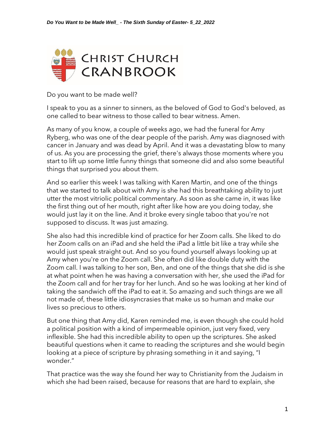

Do you want to be made well?

I speak to you as a sinner to sinners, as the beloved of God to God's beloved, as one called to bear witness to those called to bear witness. Amen.

As many of you know, a couple of weeks ago, we had the funeral for Amy Ryberg, who was one of the dear people of the parish. Amy was diagnosed with cancer in January and was dead by April. And it was a devastating blow to many of us. As you are processing the grief, there's always those moments where you start to lift up some little funny things that someone did and also some beautiful things that surprised you about them.

And so earlier this week I was talking with Karen Martin, and one of the things that we started to talk about with Amy is she had this breathtaking ability to just utter the most vitriolic political commentary. As soon as she came in, it was like the first thing out of her mouth, right after like how are you doing today, she would just lay it on the line. And it broke every single taboo that you're not supposed to discuss. It was just amazing.

She also had this incredible kind of practice for her Zoom calls. She liked to do her Zoom calls on an iPad and she held the iPad a little bit like a tray while she would just speak straight out. And so you found yourself always looking up at Amy when you're on the Zoom call. She often did like double duty with the Zoom call. I was talking to her son, Ben, and one of the things that she did is she at what point when he was having a conversation with her, she used the iPad for the Zoom call and for her tray for her lunch. And so he was looking at her kind of taking the sandwich off the iPad to eat it. So amazing and such things are we all not made of, these little idiosyncrasies that make us so human and make our lives so precious to others.

But one thing that Amy did, Karen reminded me, is even though she could hold a political position with a kind of impermeable opinion, just very fixed, very inflexible. She had this incredible ability to open up the scriptures. She asked beautiful questions when it came to reading the scriptures and she would begin looking at a piece of scripture by phrasing something in it and saying, "I wonder."

That practice was the way she found her way to Christianity from the Judaism in which she had been raised, because for reasons that are hard to explain, she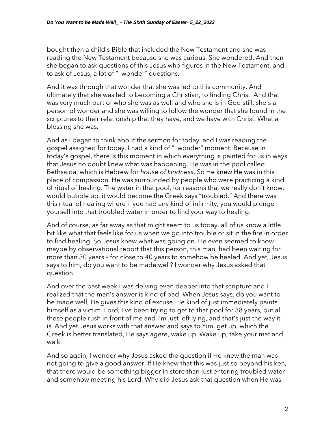bought then a child's Bible that included the New Testament and she was reading the New Testament because she was curious. She wondered. And then she began to ask questions of this Jesus who figures in the New Testament, and to ask of Jesus, a lot of "I wonder" questions.

And it was through that wonder that she was led to this community. And ultimately that she was led to becoming a Christian, to finding Christ. And that was very much part of who she was as well and who she is in God still, she's a person of wonder and she was willing to follow the wonder that she found in the scriptures to their relationship that they have, and we have with Christ. What a blessing she was.

And as I began to think about the sermon for today, and I was reading the gospel assigned for today, I had a kind of "I wonder" moment. Because in today's gospel, there is this moment in which everything is painted for us in ways that Jesus no doubt knew what was happening. He was in the pool called Bethsaida, which is Hebrew for *house of kindness*. So He knew He was in this place of compassion. He was surrounded by people who were practicing a kind of ritual of healing. The water in that pool, for reasons that we really don't know, would bubble up, it would become the Greek says "troubled." And there was this ritual of healing where if you had any kind of infirmity, you would plunge yourself into that troubled water in order to find your way to healing.

And of course, as far away as that might seem to us today, all of us know a little bit like what that feels like for us when we go into trouble or sit in the fire in order to find healing. So Jesus knew what was going on. He even seemed to know maybe by observational report that this person, this man, had been waiting for more than 30 years – for close to 40 years to somehow be healed. And yet, Jesus says to him, do you want to be made well? I wonder why Jesus asked that question.

And over the past week I was delving even deeper into that scripture and I realized that the man's answer is kind of bad. When Jesus says, do you want to be made well, He gives this kind of excuse. He kind of just immediately paints himself as a victim. Lord, I've been trying to get to that pool for 38 years, but all these people rush in front of me and I'm just left lying, and that's just the way it is. And yet Jesus works with that answer and says to him, get up, which the Greek is better translated, He says *agere*, wake up. Wake up, take your mat and walk.

And so again, I wonder why Jesus asked the question if He knew the man was not going to give a good answer. If He knew that this was just so beyond his ken, that there would be something bigger in store than just entering troubled water and somehow meeting his Lord. Why did Jesus ask that question when He was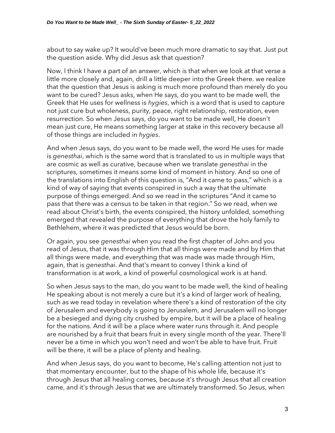about to say wake up? It would've been much more dramatic to say that. Just put the question aside. Why did Jesus ask that question?

Now, I think I have a part of an answer, which is that when we look at that verse a little more closely and, again, drill a little deeper into the Greek there. we realize that the question that Jesus is asking is much more profound than merely do you want to be cured? Jesus asks, when He says, do you want to be made well, the Greek that He uses for wellness is *hygies*, which is a word that is used to capture not just cure but wholeness, purity, peace, right relationship, restoration, even resurrection. So when Jesus says, do you want to be made well, He doesn't mean just cure, He means something larger at stake in this recovery because all of those things are included in *hygies*.

And when Jesus says, do you want to be made well, the word He uses for made is *genesthai*, which is the same word that is translated to us in multiple ways that are cosmic as well as curative, because when we translate *genesthai* in the scriptures, sometimes it means some kind of moment in history. And so one of the translations into English of this question is, "And it came to pass," which is a kind of way of saying that events conspired in such a way that the ultimate purpose of things emerged. And so we read in the scriptures "And it came to pass that there was a census to be taken in that region." So we read, when we read about Christ's birth, the events conspired, the history unfolded, something emerged that revealed the purpose of everything that drove the holy family to Bethlehem, where it was predicted that Jesus would be born.

Or again, you see *genesthai* when you read the first chapter of John and you read of Jesus, that it was through Him that all things were made and by Him that all things were made, and everything that was made was made through Him, again, that is *genesthai*. And that's meant to convey I think a kind of transformation is at work, a kind of powerful cosmological work is at hand.

So when Jesus says to the man, do you want to be made well, the kind of healing He speaking about is not merely a cure but it's a kind of larger work of healing, such as we read today in revelation where there's a kind of restoration of the city of Jerusalem and everybody is going to Jerusalem, and Jerusalem will no longer be a besieged and dying city crushed by empire, but it will be a place of healing for the nations. And it will be a place where water runs through it. And people are nourished by a fruit that bears fruit in every single month of the year. There'll never be a time in which you won't need and won't be able to have fruit. Fruit will be there, it will be a place of plenty and healing.

And when Jesus says, do you want to become, He's calling attention not just to that momentary encounter, but to the shape of his whole life, because it's through Jesus that all healing comes, because it's through Jesus that all creation came, and it's through Jesus that we are ultimately transformed. So Jesus, when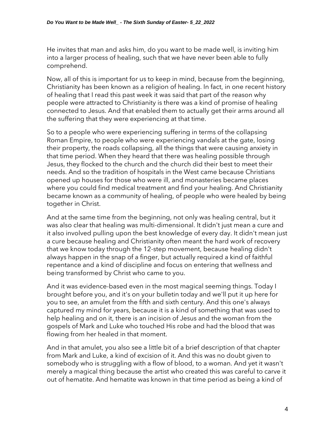He invites that man and asks him, do you want to be made well, is inviting him into a larger process of healing, such that we have never been able to fully comprehend.

Now, all of this is important for us to keep in mind, because from the beginning, Christianity has been known as a religion of healing. In fact, in one recent history of healing that I read this past week it was said that part of the reason why people were attracted to Christianity is there was a kind of promise of healing connected to Jesus. And that enabled them to actually get their arms around all the suffering that they were experiencing at that time.

So to a people who were experiencing suffering in terms of the collapsing Roman Empire, to people who were experiencing vandals at the gate, losing their property, the roads collapsing, all the things that were causing anxiety in that time period. When they heard that there was healing possible through Jesus, they flocked to the church and the church did their best to meet their needs. And so the tradition of hospitals in the West came because Christians opened up houses for those who were ill, and monasteries became places where you could find medical treatment and find your healing. And Christianity became known as a community of healing, of people who were healed by being together in Christ.

And at the same time from the beginning, not only was healing central, but it was also clear that healing was multi-dimensional. It didn't just mean a cure and it also involved pulling upon the best knowledge of every day. It didn't mean just a cure because healing and Christianity often meant the hard work of recovery that we know today through the 12-step movement, because healing didn't always happen in the snap of a finger, but actually required a kind of faithful repentance and a kind of discipline and focus on entering that wellness and being transformed by Christ who came to you.

And it was evidence-based even in the most magical seeming things. Today I brought before you, and it's on your bulletin today and we'll put it up here for you to see, an amulet from the fifth and sixth century. And this one's always captured my mind for years, because it is a kind of something that was used to help healing and on it, there is an incision of Jesus and the woman from the gospels of Mark and Luke who touched His robe and had the blood that was flowing from her healed in that moment.

And in that amulet, you also see a little bit of a brief description of that chapter from Mark and Luke, a kind of excision of it. And this was no doubt given to somebody who is struggling with a flow of blood, to a woman. And yet it wasn't merely a magical thing because the artist who created this was careful to carve it out of hematite. And hematite was known in that time period as being a kind of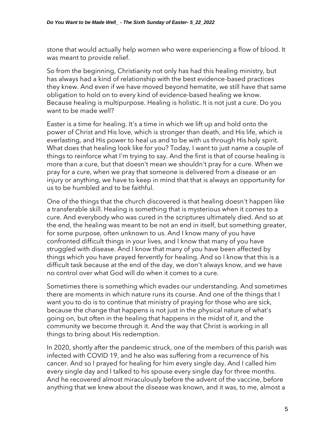stone that would actually help women who were experiencing a flow of blood. It was meant to provide relief.

So from the beginning, Christianity not only has had this healing ministry, but has always had a kind of relationship with the best evidence-based practices they knew. And even if we have moved beyond hematite, we still have that same obligation to hold on to every kind of evidence-based healing we know. Because healing is multipurpose. Healing is holistic. It is not just a cure. Do you want to be made well?

Easter is a time for healing. It's a time in which we lift up and hold onto the power of Christ and His love, which is stronger than death, and His life, which is everlasting, and His power to heal us and to be with us through His holy spirit. What does that healing look like for you? Today, I want to just name a couple of things to reinforce what I'm trying to say. And the first is that of course healing is more than a cure, but that doesn't mean we shouldn't pray for a cure. When we pray for a cure, when we pray that someone is delivered from a disease or an injury or anything, we have to keep in mind that that is always an opportunity for us to be humbled and to be faithful.

One of the things that the church discovered is that healing doesn't happen like a transferable skill. Healing is something that is mysterious when it comes to a cure. And everybody who was cured in the scriptures ultimately died. And so at the end, the healing was meant to be not an end in itself, but something greater, for some purpose, often unknown to us. And I know many of you have confronted difficult things in your lives, and I know that many of you have struggled with disease. And I know that many of you have been affected by things which you have prayed fervently for healing. And so I know that this is a difficult task because at the end of the day, we don't always know, and we have no control over what God will do when it comes to a cure.

Sometimes there is something which evades our understanding. And sometimes there are moments in which nature runs its course. And one of the things that I want you to do is to continue that ministry of praying for those who are sick, because the change that happens is not just in the physical nature of what's going on, but often in the healing that happens in the midst of it, and the community we become through it. And the way that Christ is working in all things to bring about His redemption.

In 2020, shortly after the pandemic struck, one of the members of this parish was infected with COVID 19, and he also was suffering from a recurrence of his cancer. And so I prayed for healing for him every single day. And I called him every single day and I talked to his spouse every single day for three months. And he recovered almost miraculously before the advent of the vaccine, before anything that we knew about the disease was known, and it was, to me, almost a